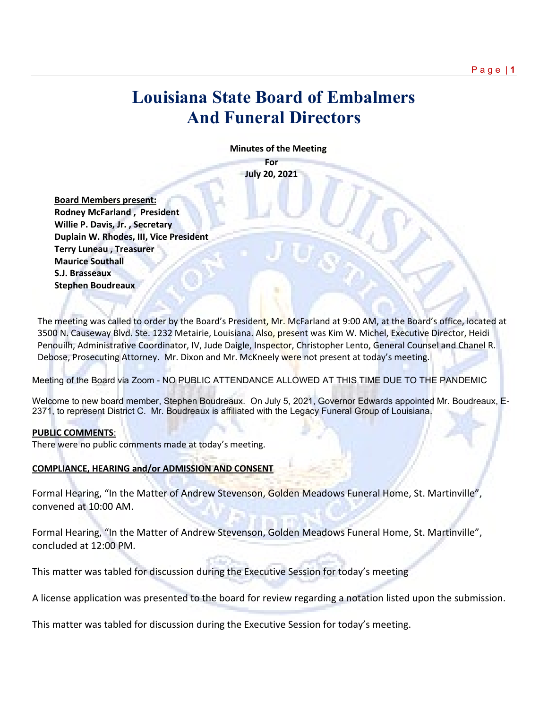# **Louisiana State Board of Embalmers And Funeral Directors**

 **Minutes of the Meeting**

**For July 20, 2021**

 **Board Members present: Rodney McFarland , President Willie P. Davis, Jr. , Secretary Duplain W. Rhodes, III, Vice President Terry Luneau , Treasurer Maurice Southall S.J. Brasseaux Stephen Boudreaux**

The meeting was called to order by the Board's President, Mr. McFarland at 9:00 AM, at the Board's office, located at 3500 N. Causeway Blvd. Ste. 1232 Metairie, Louisiana. Also, present was Kim W. Michel, Executive Director, Heidi Penouilh, Administrative Coordinator, IV, Jude Daigle, Inspector, Christopher Lento, General Counsel and Chanel R. Debose, Prosecuting Attorney. Mr. Dixon and Mr. McKneely were not present at today's meeting.

Meeting of the Board via Zoom - NO PUBLIC ATTENDANCE ALLOWED AT THIS TIME DUE TO THE PANDEMIC

Welcome to new board member, Stephen Boudreaux. On July 5, 2021, Governor Edwards appointed Mr. Boudreaux, E-2371, to represent District C. Mr. Boudreaux is affiliated with the Legacy Funeral Group of Louisiana.

# **PUBLIC COMMENTS**:

There were no public comments made at today's meeting.

# **COMPLIANCE, HEARING and/or ADMISSION AND CONSENT**

Formal Hearing, "In the Matter of Andrew Stevenson, Golden Meadows Funeral Home, St. Martinville", convened at 10:00 AM.

Formal Hearing, "In the Matter of Andrew Stevenson, Golden Meadows Funeral Home, St. Martinville", concluded at 12:00 PM.

This matter was tabled for discussion during the Executive Session for today's meeting

A license application was presented to the board for review regarding a notation listed upon the submission.

This matter was tabled for discussion during the Executive Session for today's meeting.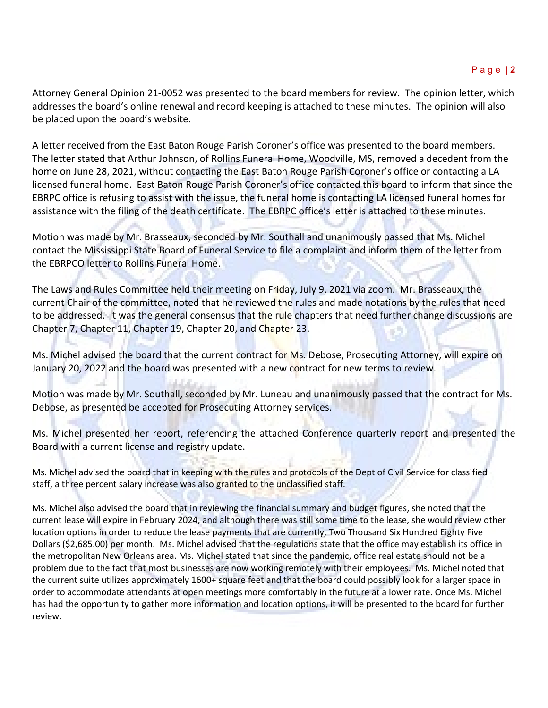Attorney General Opinion 21-0052 was presented to the board members for review. The opinion letter, which addresses the board's online renewal and record keeping is attached to these minutes. The opinion will also be placed upon the board's website.

A letter received from the East Baton Rouge Parish Coroner's office was presented to the board members. The letter stated that Arthur Johnson, of Rollins Funeral Home, Woodville, MS, removed a decedent from the home on June 28, 2021, without contacting the East Baton Rouge Parish Coroner's office or contacting a LA licensed funeral home. East Baton Rouge Parish Coroner's office contacted this board to inform that since the EBRPC office is refusing to assist with the issue, the funeral home is contacting LA licensed funeral homes for assistance with the filing of the death certificate. The EBRPC office's letter is attached to these minutes.

Motion was made by Mr. Brasseaux, seconded by Mr. Southall and unanimously passed that Ms. Michel contact the Mississippi State Board of Funeral Service to file a complaint and inform them of the letter from the EBRPCO letter to Rollins Funeral Home.

The Laws and Rules Committee held their meeting on Friday, July 9, 2021 via zoom. Mr. Brasseaux, the current Chair of the committee, noted that he reviewed the rules and made notations by the rules that need to be addressed. It was the general consensus that the rule chapters that need further change discussions are Chapter 7, Chapter 11, Chapter 19, Chapter 20, and Chapter 23.

Ms. Michel advised the board that the current contract for Ms. Debose, Prosecuting Attorney, will expire on January 20, 2022 and the board was presented with a new contract for new terms to review.

Motion was made by Mr. Southall, seconded by Mr. Luneau and unanimously passed that the contract for Ms. Debose, as presented be accepted for Prosecuting Attorney services.

Ms. Michel presented her report, referencing the attached Conference quarterly report and presented the Board with a current license and registry update.

Ms. Michel advised the board that in keeping with the rules and protocols of the Dept of Civil Service for classified staff, a three percent salary increase was also granted to the unclassified staff.

Ms. Michel also advised the board that in reviewing the financial summary and budget figures, she noted that the current lease will expire in February 2024, and although there was still some time to the lease, she would review other location options in order to reduce the lease payments that are currently, Two Thousand Six Hundred Eighty Five Dollars (\$2,685.00) per month. Ms. Michel advised that the regulations state that the office may establish its office in the metropolitan New Orleans area. Ms. Michel stated that since the pandemic, office real estate should not be a problem due to the fact that most businesses are now working remotely with their employees. Ms. Michel noted that the current suite utilizes approximately 1600+ square feet and that the board could possibly look for a larger space in order to accommodate attendants at open meetings more comfortably in the future at a lower rate. Once Ms. Michel has had the opportunity to gather more information and location options, it will be presented to the board for further review.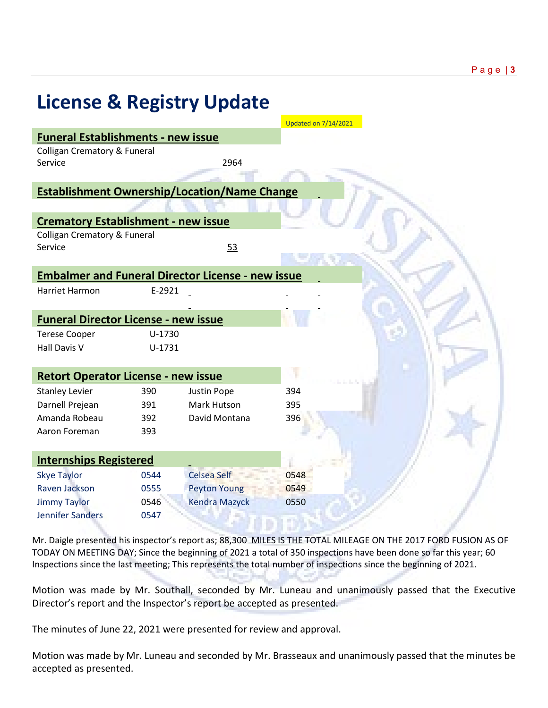| <b>License &amp; Registry Update</b>                     |          |                      |                             |
|----------------------------------------------------------|----------|----------------------|-----------------------------|
|                                                          |          |                      | <b>Updated on 7/14/2021</b> |
| <b>Funeral Establishments - new issue</b>                |          |                      |                             |
| <b>Colligan Crematory &amp; Funeral</b>                  |          |                      |                             |
| Service                                                  |          | 2964                 |                             |
|                                                          |          |                      |                             |
| <b>Establishment Ownership/Location/Name Change</b>      |          |                      |                             |
|                                                          |          |                      |                             |
| <b>Crematory Establishment - new issue</b>               |          |                      |                             |
| <b>Colligan Crematory &amp; Funeral</b>                  |          |                      |                             |
| Service                                                  |          | 53                   |                             |
|                                                          |          |                      |                             |
| <b>Embalmer and Funeral Director License - new issue</b> |          |                      |                             |
| Harriet Harmon                                           | E-2921   |                      |                             |
|                                                          |          |                      |                             |
| <b>Funeral Director License - new issue</b>              |          |                      |                             |
| <b>Terese Cooper</b>                                     | U-1730   |                      |                             |
| <b>Hall Davis V</b>                                      | $U-1731$ |                      |                             |
|                                                          |          |                      |                             |
| <b>Retort Operator License - new issue</b>               |          |                      |                             |
| <b>Stanley Levier</b>                                    | 390      | <b>Justin Pope</b>   | 394                         |
| Darnell Prejean                                          | 391      | <b>Mark Hutson</b>   | 395                         |
| Amanda Robeau                                            | 392      | David Montana        | 396                         |
| Aaron Foreman                                            | 393      |                      |                             |
|                                                          |          |                      |                             |
| <b>Internships Registered</b>                            |          |                      |                             |
| <b>Skye Taylor</b>                                       | 0544     | <b>Celsea Self</b>   | 0548                        |
| Raven Jackson                                            | 0555     | <b>Peyton Young</b>  | 0549                        |
| <b>Jimmy Taylor</b>                                      | 0546     | <b>Kendra Mazyck</b> | 0550                        |
| <b>Jennifer Sanders</b>                                  | 0547     |                      |                             |
|                                                          |          |                      |                             |

Mr. Daigle presented his inspector's report as; 88,300 MILES IS THE TOTAL MILEAGE ON THE 2017 FORD FUSION AS OF TODAY ON MEETING DAY; Since the beginning of 2021 a total of 350 inspections have been done so far this year; 60 Inspections since the last meeting; This represents the total number of inspections since the beginning of 2021.

Motion was made by Mr. Southall, seconded by Mr. Luneau and unanimously passed that the Executive Director's report and the Inspector's report be accepted as presented.

The minutes of June 22, 2021 were presented for review and approval.

Motion was made by Mr. Luneau and seconded by Mr. Brasseaux and unanimously passed that the minutes be accepted as presented.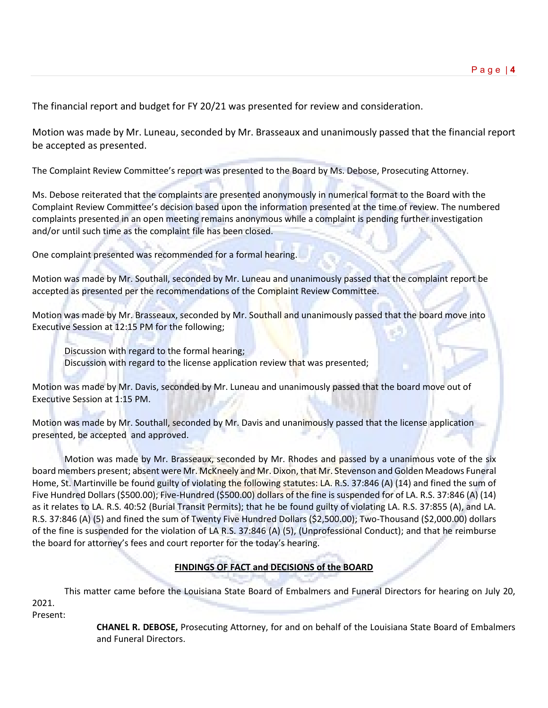The financial report and budget for FY 20/21 was presented for review and consideration.

Motion was made by Mr. Luneau, seconded by Mr. Brasseaux and unanimously passed that the financial report be accepted as presented.

The Complaint Review Committee's report was presented to the Board by Ms. Debose, Prosecuting Attorney.

Ms. Debose reiterated that the complaints are presented anonymously in numerical format to the Board with the Complaint Review Committee's decision based upon the information presented at the time of review. The numbered complaints presented in an open meeting remains anonymous while a complaint is pending further investigation and/or until such time as the complaint file has been closed.

One complaint presented was recommended for a formal hearing.

Motion was made by Mr. Southall, seconded by Mr. Luneau and unanimously passed that the complaint report be accepted as presented per the recommendations of the Complaint Review Committee.

Motion was made by Mr. Brasseaux, seconded by Mr. Southall and unanimously passed that the board move into Executive Session at 12:15 PM for the following;

Discussion with regard to the formal hearing; Discussion with regard to the license application review that was presented;

Motion was made by Mr. Davis, seconded by Mr. Luneau and unanimously passed that the board move out of Executive Session at 1:15 PM.

Motion was made by Mr. Southall, seconded by Mr. Davis and unanimously passed that the license application presented, be accepted and approved.

Motion was made by Mr. Brasseaux, seconded by Mr. Rhodes and passed by a unanimous vote of the six board members present; absent were Mr. McKneely and Mr. Dixon, that Mr. Stevenson and Golden Meadows Funeral Home, St. Martinville be found guilty of violating the following statutes: LA. R.S. 37:846 (A) (14) and fined the sum of Five Hundred Dollars (\$500.00); Five-Hundred (\$500.00) dollars of the fine is suspended for of LA. R.S. 37:846 (A) (14) as it relates to LA. R.S. 40:52 (Burial Transit Permits); that he be found guilty of violating LA. R.S. 37:855 (A), and LA. R.S. 37:846 (A) (5) and fined the sum of Twenty Five Hundred Dollars (\$2,500.00); Two-Thousand (\$2,000.00) dollars of the fine is suspended for the violation of LA R.S. 37:846 (A) (5), (Unprofessional Conduct); and that he reimburse the board for attorney's fees and court reporter for the today's hearing.

# **FINDINGS OF FACT and DECISIONS of the BOARD**

This matter came before the Louisiana State Board of Embalmers and Funeral Directors for hearing on July 20, 2021.

Present:

**CHANEL R. DEBOSE,** Prosecuting Attorney, for and on behalf of the Louisiana State Board of Embalmers and Funeral Directors.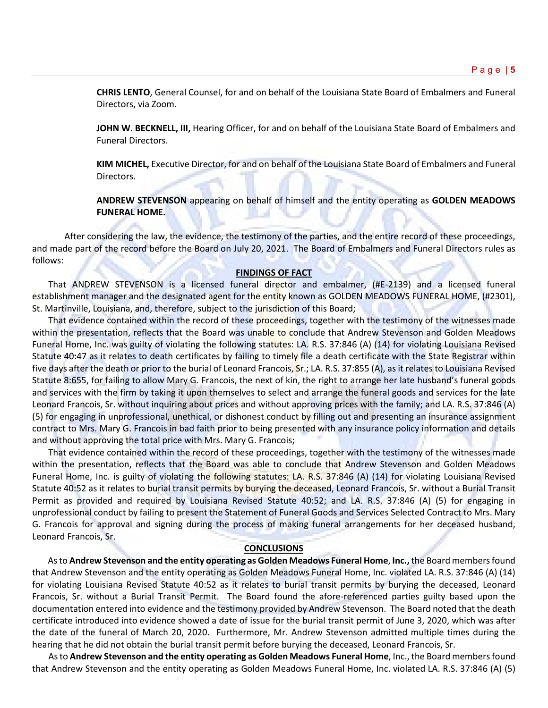**CHRIS LENTO**, General Counsel, for and on behalf of the Louisiana State Board of Embalmers and Funeral Directors, via Zoom.

**JOHN W. BECKNELL, III,** Hearing Officer, for and on behalf of the Louisiana State Board of Embalmers and Funeral Directors.

**KIM MICHEL,** Executive Director, for and on behalf of the Louisiana State Board of Embalmers and Funeral Directors.

**ANDREW STEVENSON** appearing on behalf of himself and the entity operating as **GOLDEN MEADOWS FUNERAL HOME.**

After considering the law, the evidence, the testimony of the parties, and the entire record of these proceedings, and made part of the record before the Board on July 20, 2021. The Board of Embalmers and Funeral Directors rules as follows:

#### **FINDINGS OF FACT**

That ANDREW STEVENSON is a licensed funeral director and embalmer, (#E-2139) and a licensed funeral establishment manager and the designated agent for the entity known as GOLDEN MEADOWS FUNERAL HOME, (#2301), St. Martinville, Louisiana, and, therefore, subject to the jurisdiction of this Board;

That evidence contained within the record of these proceedings, together with the testimony of the witnesses made within the presentation, reflects that the Board was unable to conclude that Andrew Stevenson and Golden Meadows Funeral Home, Inc. was guilty of violating the following statutes: LA. R.S. 37:846 (A) (14) for violating Louisiana Revised Statute 40:47 as it relates to death certificates by failing to timely file a death certificate with the State Registrar within five days after the death or prior to the burial of Leonard Francois, Sr.; LA. R.S. 37:855 (A), as it relates to Louisiana Revised Statute 8:655, for failing to allow Mary G. Francois, the next of kin, the right to arrange her late husband's funeral goods and services with the firm by taking it upon themselves to select and arrange the funeral goods and services for the late Leonard Francois, Sr. without inquiring about prices and without approving prices with the family; and LA. R.S. 37:846 (A) (5) for engaging in unprofessional, unethical, or dishonest conduct by filling out and presenting an insurance assignment contract to Mrs. Mary G. Francois in bad faith prior to being presented with any insurance policy information and details and without approving the total price with Mrs. Mary G. Francois;

That evidence contained within the record of these proceedings, together with the testimony of the witnesses made within the presentation, reflects that the Board was able to conclude that Andrew Stevenson and Golden Meadows Funeral Home, Inc. is guilty of violating the following statutes: LA. R.S. 37:846 (A) (14) for violating Louisiana Revised Statute 40:52 as it relates to burial transit permits by burying the deceased, Leonard Francois, Sr. without a Burial Transit Permit as provided and required by Louisiana Revised Statute 40:52; and LA. R.S. 37:846 (A) (5) for engaging in unprofessional conduct by failing to present the Statement of Funeral Goods and Services Selected Contract to Mrs. Mary G. Francois for approval and signing during the process of making funeral arrangements for her deceased husband, Leonard Francois, Sr.

## **CONCLUSIONS**

 As to **Andrew Stevenson and the entity operating as Golden Meadows Funeral Home**, **Inc.,** the Board members found that Andrew Stevenson and the entity operating as Golden Meadows Funeral Home, Inc. violated LA. R.S. 37:846 (A) (14) for violating Louisiana Revised Statute 40:52 as it relates to burial transit permits by burying the deceased, Leonard Francois, Sr. without a Burial Transit Permit. The Board found the afore-referenced parties guilty based upon the documentation entered into evidence and the testimony provided by Andrew Stevenson. The Board noted that the death certificate introduced into evidence showed a date of issue for the burial transit permit of June 3, 2020, which was after the date of the funeral of March 20, 2020. Furthermore, Mr. Andrew Stevenson admitted multiple times during the hearing that he did not obtain the burial transit permit before burying the deceased, Leonard Francois, Sr.

As to **Andrew Stevenson and the entity operating as Golden Meadows Funeral Home**, Inc., the Board members found that Andrew Stevenson and the entity operating as Golden Meadows Funeral Home, Inc. violated LA. R.S. 37:846 (A) (5)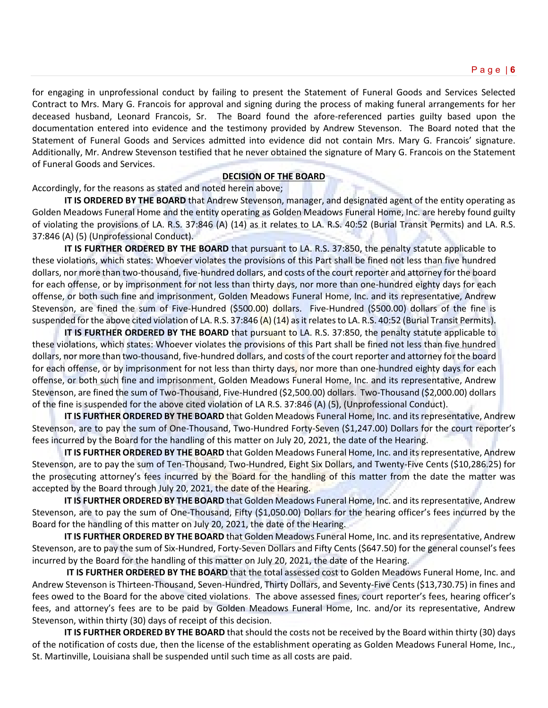for engaging in unprofessional conduct by failing to present the Statement of Funeral Goods and Services Selected Contract to Mrs. Mary G. Francois for approval and signing during the process of making funeral arrangements for her deceased husband, Leonard Francois, Sr. The Board found the afore-referenced parties guilty based upon the documentation entered into evidence and the testimony provided by Andrew Stevenson. The Board noted that the Statement of Funeral Goods and Services admitted into evidence did not contain Mrs. Mary G. Francois' signature. Additionally, Mr. Andrew Stevenson testified that he never obtained the signature of Mary G. Francois on the Statement of Funeral Goods and Services.

# **DECISION OF THE BOARD**

Accordingly, for the reasons as stated and noted herein above;

**IT IS ORDERED BY THE BOARD** that Andrew Stevenson, manager, and designated agent of the entity operating as Golden Meadows Funeral Home and the entity operating as Golden Meadows Funeral Home, Inc. are hereby found guilty of violating the provisions of LA. R.S. 37:846 (A) (14) as it relates to LA. R.S. 40:52 (Burial Transit Permits) and LA. R.S. 37:846 (A) (5) (Unprofessional Conduct).

**IT IS FURTHER ORDERED BY THE BOARD** that pursuant to LA. R.S. 37:850, the penalty statute applicable to these violations, which states: Whoever violates the provisions of this Part shall be fined not less than five hundred dollars, nor more than two-thousand, five-hundred dollars, and costs of the court reporter and attorney for the board for each offense, or by imprisonment for not less than thirty days, nor more than one-hundred eighty days for each offense, or both such fine and imprisonment, Golden Meadows Funeral Home, Inc. and its representative, Andrew Stevenson, are fined the sum of Five-Hundred (\$500.00) dollars. Five-Hundred (\$500.00) dollars of the fine is suspended for the above cited violation of LA. R.S. 37:846 (A) (14) as it relates to LA. R.S. 40:52 (Burial Transit Permits).

**IT IS FURTHER ORDERED BY THE BOARD** that pursuant to LA. R.S. 37:850, the penalty statute applicable to these violations, which states: Whoever violates the provisions of this Part shall be fined not less than five hundred dollars, nor more than two-thousand, five-hundred dollars, and costs of the court reporter and attorney for the board for each offense, or by imprisonment for not less than thirty days, nor more than one-hundred eighty days for each offense, or both such fine and imprisonment, Golden Meadows Funeral Home, Inc. and its representative, Andrew Stevenson, are fined the sum of Two-Thousand, Five-Hundred (\$2,500.00) dollars. Two-Thousand (\$2,000.00) dollars of the fine is suspended for the above cited violation of LA R.S. 37:846 (A) (5), (Unprofessional Conduct).

**IT IS FURTHER ORDERED BY THE BOARD** that Golden Meadows Funeral Home, Inc. and its representative, Andrew Stevenson, are to pay the sum of One-Thousand, Two-Hundred Forty-Seven (\$1,247.00) Dollars for the court reporter's fees incurred by the Board for the handling of this matter on July 20, 2021, the date of the Hearing.

**IT IS FURTHER ORDERED BY THE BOARD** that Golden Meadows Funeral Home, Inc. and its representative, Andrew Stevenson, are to pay the sum of Ten-Thousand, Two-Hundred, Eight Six Dollars, and Twenty-Five Cents (\$10,286.25) for the prosecuting attorney's fees incurred by the Board for the handling of this matter from the date the matter was accepted by the Board through July 20, 2021, the date of the Hearing.

**IT IS FURTHER ORDERED BY THE BOARD** that Golden Meadows Funeral Home, Inc. and its representative, Andrew Stevenson, are to pay the sum of One-Thousand, Fifty (\$1,050.00) Dollars for the hearing officer's fees incurred by the Board for the handling of this matter on July 20, 2021, the date of the Hearing.

**IT IS FURTHER ORDERED BY THE BOARD** that Golden Meadows Funeral Home, Inc. and its representative, Andrew Stevenson, are to pay the sum of Six-Hundred, Forty-Seven Dollars and Fifty Cents (\$647.50) for the general counsel's fees incurred by the Board for the handling of this matter on July 20, 2021, the date of the Hearing.

**IT IS FURTHER ORDERED BY THE BOARD** that the total assessed cost to Golden Meadows Funeral Home, Inc. and Andrew Stevenson is Thirteen-Thousand, Seven-Hundred, Thirty Dollars, and Seventy-Five Cents (\$13,730.75) in fines and fees owed to the Board for the above cited violations. The above assessed fines, court reporter's fees, hearing officer's fees, and attorney's fees are to be paid by Golden Meadows Funeral Home, Inc. and/or its representative, Andrew Stevenson, within thirty (30) days of receipt of this decision.

**IT IS FURTHER ORDERED BY THE BOARD** that should the costs not be received by the Board within thirty (30) days of the notification of costs due, then the license of the establishment operating as Golden Meadows Funeral Home, Inc., St. Martinville, Louisiana shall be suspended until such time as all costs are paid.